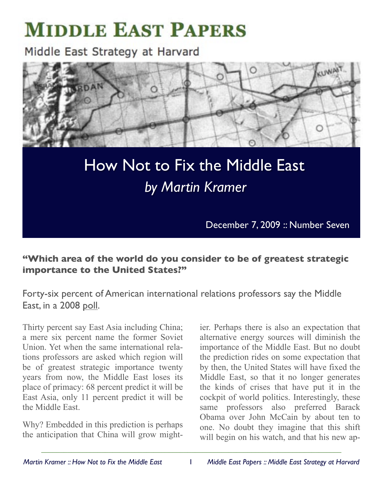# **MIDDLE EAST PAPERS**

Middle East Strategy at Harvard



# How Not to Fix the Middle East  *by Martin Kramer*

December 7, 2009 :: Number Seven

# **"Which area of the world do you consider to be of greatest strategic importance to the United States?"**

Forty-six percent of American international relations professors say the Middle East, in a 2008 [poll](http://irtheoryandpractice.wm.edu/projects/trip/Final_Trip_Report_2009.pdf).

Thirty percent say East Asia including China; a mere six percent name the former Soviet Union. Yet when the same international relations professors are asked which region will be of greatest strategic importance twenty years from now, the Middle East loses its place of primacy: 68 percent predict it will be East Asia, only 11 percent predict it will be the Middle East.

Why? Embedded in this prediction is perhaps the anticipation that China will grow might-

ier. Perhaps there is also an expectation that alternative energy sources will diminish the importance of the Middle East. But no doubt the prediction rides on some expectation that by then, the United States will have fixed the Middle East, so that it no longer generates the kinds of crises that have put it in the cockpit of world politics. Interestingly, these same professors also preferred Barack Obama over John McCain by about ten to one. No doubt they imagine that this shift will begin on his watch, and that his new ap-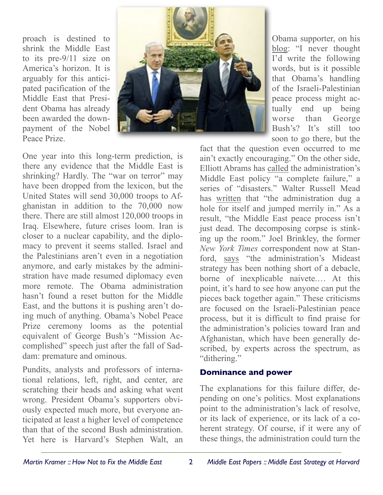proach is destined to shrink the Middle East to its pre-9/11 size on America's horizon. It is arguably for this anticipated pacification of the Middle East that President Obama has already been awarded the downpayment of the Nobel Peace Prize.



Obama supporter, on his [blog:](http://walt.foreignpolicy.com/posts/2009/11/06/things_to_read_if_youre_suffering_from_misplaced_optimism) "I never thought I'd write the following words, but is it possible that Obama's handling of the Israeli-Palestinian peace process might actually end up being worse than George Bush's? It's still too soon to go there, but the

One year into this long-term prediction, is there any evidence that the Middle East is shrinking? Hardly. The "war on terror" may have been dropped from the lexicon, but the United States will send 30,000 troops to Afghanistan in addition to the 70,000 now there. There are still almost 120,000 troops in Iraq. Elsewhere, future crises loom. Iran is closer to a nuclear capability, and the diplomacy to prevent it seems stalled. Israel and the Palestinians aren't even in a negotiation anymore, and early mistakes by the administration have made resumed diplomacy even more remote. The Obama administration hasn't found a reset button for the Middle East, and the buttons it is pushing aren't doing much of anything. Obama's Nobel Peace Prize ceremony looms as the potential equivalent of George Bush's "Mission Accomplished" speech just after the fall of Saddam: premature and ominous.

Pundits, analysts and professors of international relations, left, right, and center, are scratching their heads and asking what went wrong. President Obama's supporters obviously expected much more, but everyone anticipated at least a higher level of competence than that of the second Bush administration. Yet here is Harvard's Stephen Walt, an

fact that the question even occurred to me ain't exactly encouraging." On the other side, Elliott Abrams has [called](http://www.weeklystandard.com/Content/Public/Articles/000/000/017/187pwixc.asp) the administration's Middle East policy "a complete failure," a series of "disasters." Walter Russell Mead has [written](http://www.thedailybeast.com/blogs-and-stories/2009-11-10/how-obama-lost-the-middle-east/full/) that "the administration dug a hole for itself and jumped merrily in." As a result, "the Middle East peace process isn't just dead. The decomposing corpse is stinking up the room." Joel Brinkley, the former *New York Times* correspondent now at Stanford, [says](http://www.thenewstribune.com/opinion/columnists/story/959170.html) "the administration's Mideast strategy has been nothing short of a debacle, borne of inexplicable naivete.… At this point, it's hard to see how anyone can put the pieces back together again." These criticisms are focused on the Israeli-Palestinian peace process, but it is difficult to find praise for the administration's policies toward Iran and Afghanistan, which have been generally described, by experts across the spectrum, as "dithering."

#### **Dominance and power**

The explanations for this failure differ, depending on one's politics. Most explanations point to the administration's lack of resolve, or its lack of experience, or its lack of a coherent strategy. Of course, if it were any of these things, the administration could turn the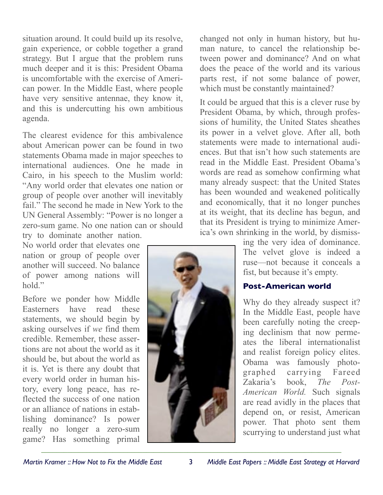situation around. It could build up its resolve, gain experience, or cobble together a grand strategy. But I argue that the problem runs much deeper and it is this: President Obama is uncomfortable with the exercise of American power. In the Middle East, where people have very sensitive antennae, they know it, and this is undercutting his own ambitious agenda.

The clearest evidence for this ambivalence about American power can be found in two statements Obama made in major speeches to international audiences. One he made in Cairo, in his speech to the Muslim world: "Any world order that elevates one nation or group of people over another will inevitably fail." The second he made in New York to the UN General Assembly: "Power is no longer a zero-sum game. No one nation can or should

try to dominate another nation. No world order that elevates one nation or group of people over another will succeed. No balance of power among nations will hold."

Before we ponder how Middle Easterners have read these statements, we should begin by asking ourselves if *we* find them credible. Remember, these assertions are not about the world as it should be, but about the world as it is. Yet is there any doubt that every world order in human history, every long peace, has reflected the success of one nation or an alliance of nations in establishing dominance? Is power really no longer a zero-sum game? Has something primal

changed not only in human history, but human nature, to cancel the relationship between power and dominance? And on what does the peace of the world and its various parts rest, if not some balance of power, which must be constantly maintained?

It could be argued that this is a clever ruse by President Obama, by which, through professions of humility, the United States sheathes its power in a velvet glove. After all, both statements were made to international audiences. But that isn't how such statements are read in the Middle East. President Obama's words are read as somehow confirming what many already suspect: that the United States has been wounded and weakened politically and economically, that it no longer punches at its weight, that its decline has begun, and that its President is trying to minimize America's own shrinking in the world, by dismiss-



ing the very idea of dominance. The velvet glove is indeed a ruse—not because it conceals a fist, but because it's empty.

## **Post-American world**

Why do they already suspect it? In the Middle East, people have been carefully noting the creeping declinism that now permeates the liberal internationalist and realist foreign policy elites. Obama was famously photographed carrying Fareed Zakaria's book, *The Post-American World.* Such signals are read avidly in the places that depend on, or resist, American power. That photo sent them scurrying to understand just what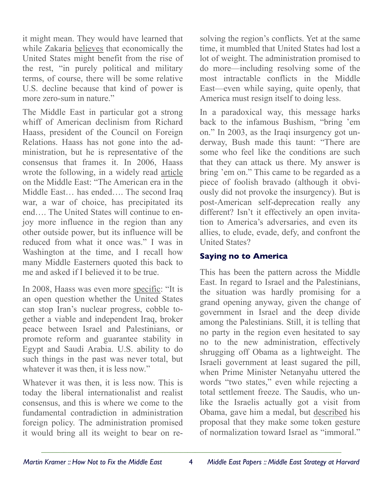it might mean. They would have learned that while Zakaria [believes](http://www.digitalnpq.org/archive/2008_summer/02_zakaria.html) that economically the United States might benefit from the rise of the rest, "in purely political and military terms, of course, there will be some relative U.S. decline because that kind of power is more zero-sum in nature."

The Middle East in particular got a strong whiff of American declinism from Richard Haass, president of the Council on Foreign Relations. Haass has not gone into the administration, but he is representative of the consensus that frames it. In 2006, Haass wrote the following, in a widely read [article](http://www.foreignaffairs.com/articles/62083/richard-n-haass/the-new-middle-east) on the Middle East: "The American era in the Middle East… has ended…. The second Iraq war, a war of choice, has precipitated its end…. The United States will continue to enjoy more influence in the region than any other outside power, but its influence will be reduced from what it once was." I was in Washington at the time, and I recall how many Middle Easterners quoted this back to me and asked if I believed it to be true.

In 2008, Haass was even more [specific:](http://blogs.law.harvard.edu/mesh/2008/07/over_for_america_richard_haass_replies/) "It is an open question whether the United States can stop Iran's nuclear progress, cobble together a viable and independent Iraq, broker peace between Israel and Palestinians, or promote reform and guarantee stability in Egypt and Saudi Arabia. U.S. ability to do such things in the past was never total, but whatever it was then, it is less now."

Whatever it was then, it is less now. This is today the liberal internationalist and realist consensus, and this is where we come to the fundamental contradiction in administration foreign policy. The administration promised it would bring all its weight to bear on resolving the region's conflicts. Yet at the same time, it mumbled that United States had lost a lot of weight. The administration promised to do more—including resolving some of the most intractable conflicts in the Middle East—even while saying, quite openly, that America must resign itself to doing less.

In a paradoxical way, this message harks back to the infamous Bushism, "bring 'em on." In 2003, as the Iraqi insurgency got underway, Bush made this taunt: "There are some who feel like the conditions are such that they can attack us there. My answer is bring 'em on." This came to be regarded as a piece of foolish bravado (although it obviously did not provoke the insurgency). But is post-American self-deprecation really any different? Isn't it effectively an open invitation to America's adversaries, and even its allies, to elude, evade, defy, and confront the United States?

## **Saying no to America**

This has been the pattern across the Middle East. In regard to Israel and the Palestinians, the situation was hardly promising for a grand opening anyway, given the change of government in Israel and the deep divide among the Palestinians. Still, it is telling that no party in the region even hesitated to say no to the new administration, effectively shrugging off Obama as a lightweight. The Israeli government at least sugared the pill, when Prime Minister Netanyahu uttered the words "two states," even while rejecting a total settlement freeze. The Saudis, who unlike the Israelis actually got a visit from Obama, gave him a medal, but [described](http://www.nytimes.com/2009/09/13/opinion/13turki.html) his proposal that they make some token gesture of normalization toward Israel as "immoral."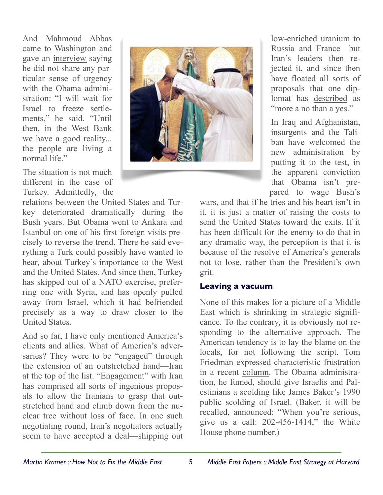And Mahmoud Abbas came to Washington and gave an [interview](http://www.washingtonpost.com/wp-dyn/content/article/2009/05/28/AR2009052803614.html) saying he did not share any particular sense of urgency with the Obama administration: "I will wait for Israel to freeze settlements," he said. "Until then, in the West Bank we have a good reality... the people are living a normal life."

The situation is not much different in the case of Turkey. Admittedly, the

relations between the United States and Turkey deteriorated dramatically during the Bush years. But Obama went to Ankara and Istanbul on one of his first foreign visits precisely to reverse the trend. There he said everything a Turk could possibly have wanted to hear, about Turkey's importance to the West and the United States. And since then, Turkey has skipped out of a NATO exercise, preferring one with Syria, and has openly pulled away from Israel, which it had befriended precisely as a way to draw closer to the United States.

And so far, I have only mentioned America's clients and allies. What of America's adversaries? They were to be "engaged" through the extension of an outstretched hand—Iran at the top of the list. "Engagement" with Iran has comprised all sorts of ingenious proposals to allow the Iranians to grasp that outstretched hand and climb down from the nuclear tree without loss of face. In one such negotiating round, Iran's negotiators actually seem to have accepted a deal—shipping out



low-enriched uranium to Russia and France—but Iran's leaders then rejected it, and since then have floated all sorts of proposals that one diplomat has [described](http://online.wsj.com/article/SB125780048673839451.html) as "more a no than a yes."

In Iraq and Afghanistan, insurgents and the Taliban have welcomed the new administration by putting it to the test, in the apparent conviction that Obama isn't prepared to wage Bush's

wars, and that if he tries and his heart isn't in it, it is just a matter of raising the costs to send the United States toward the exits. If it has been difficult for the enemy to do that in any dramatic way, the perception is that it is because of the resolve of America's generals not to lose, rather than the President's own grit.

#### **Leaving a vacuum**

None of this makes for a picture of a Middle East which is shrinking in strategic significance. To the contrary, it is obviously not responding to the alternative approach. The American tendency is to lay the blame on the locals, for not following the script. Tom Friedman expressed characteristic frustration in a recent [column.](http://www.nytimes.com/2009/11/08/opinion/08friedman.html) The Obama administration, he fumed, should give Israelis and Palestinians a scolding like James Baker's 1990 public scolding of Israel. (Baker, it will be recalled, announced: "When you're serious, give us a call: 202-456-1414," the White House phone number.)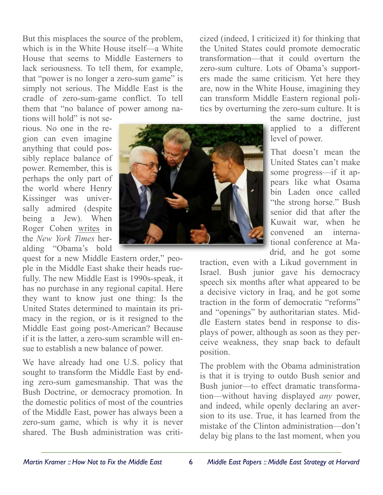But this misplaces the source of the problem, which is in the White House itself—a White House that seems to Middle Easterners to lack seriousness. To tell them, for example, that "power is no longer a zero-sum game" is simply not serious. The Middle East is the cradle of zero-sum-game conflict. To tell them that "no balance of power among na-

tions will hold" is not serious. No one in the region can even imagine anything that could possibly replace balance of power. Remember, this is perhaps the only part of the world where Henry Kissinger was universally admired (despite) being a Jew). When Roger Cohen [writes](http://www.nytimes.com/2009/11/06/opinion/06iht-edcohen.html) in the *New York Times* heralding "Obama's bold

quest for a new Middle Eastern order," people in the Middle East shake their heads ruefully. The new Middle East is 1990s-speak, it has no purchase in any regional capital. Here they want to know just one thing: Is the United States determined to maintain its primacy in the region, or is it resigned to the Middle East going post-American? Because if it is the latter, a zero-sum scramble will ensue to establish a new balance of power.

We have already had one U.S. policy that sought to transform the Middle East by ending zero-sum gamesmanship. That was the Bush Doctrine, or democracy promotion. In the domestic politics of most of the countries of the Middle East, power has always been a zero-sum game, which is why it is never shared. The Bush administration was criticized (indeed, I criticized it) for thinking that the United States could promote democratic transformation—that it could overturn the zero-sum culture. Lots of Obama's supporters made the same criticism. Yet here they are, now in the White House, imagining they can transform Middle Eastern regional politics by overturning the zero-sum culture. It is

> the same doctrine, just applied to a different level of power.

That doesn't mean the United States can't make some progress—if it appears like what Osama bin Laden once called "the strong horse." Bush senior did that after the Kuwait war, when he convened an international conference at Madrid, and he got some

traction, even with a Likud government in Israel. Bush junior gave his democracy speech six months after what appeared to be a decisive victory in Iraq, and he got some traction in the form of democratic "reforms" and "openings" by authoritarian states. Middle Eastern states bend in response to displays of power, although as soon as they perceive weakness, they snap back to default position.

The problem with the Obama administration is that it is trying to outdo Bush senior and Bush junior—to effect dramatic transformation—without having displayed *any* power, and indeed, while openly declaring an aversion to its use. True, it has learned from the mistake of the Clinton administration—don't delay big plans to the last moment, when you

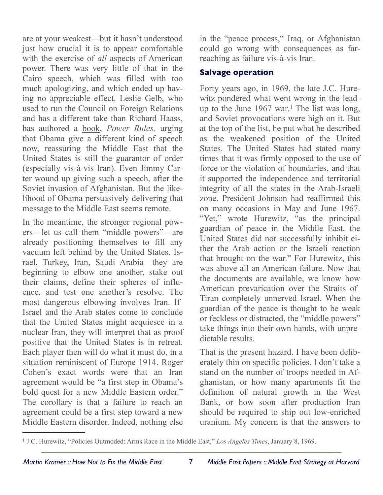are at your weakest—but it hasn't understood just how crucial it is to appear comfortable with the exercise of *all* aspects of American power. There was very little of that in the Cairo speech, which was filled with too much apologizing, and which ended up having no appreciable effect. Leslie Gelb, who used to run the Council on Foreign Relations and has a different take than Richard Haass, has authored a [book,](http://www.harpercollins.com/books/9780061864162/Power_Rules/index.aspx) *Power Rules,* urging that Obama give a different kind of speech now, reassuring the Middle East that the United States is still the guarantor of order (especially vis-à-vis Iran). Even Jimmy Carter wound up giving such a speech, after the Soviet invasion of Afghanistan. But the likelihood of Obama persuasively delivering that message to the Middle East seems remote.

In the meantime, the stronger regional powers—let us call them "middle powers"—are already positioning themselves to fill any vacuum left behind by the United States. Israel, Turkey, Iran, Saudi Arabia—they are beginning to elbow one another, stake out their claims, define their spheres of influence, and test one another's resolve. The most dangerous elbowing involves Iran. If Israel and the Arab states come to conclude that the United States might acquiesce in a nuclear Iran, they will interpret that as proof positive that the United States is in retreat. Each player then will do what it must do, in a situation reminiscent of Europe 1914. Roger Cohen's exact words were that an Iran agreement would be "a first step in Obama's bold quest for a new Middle Eastern order." The corollary is that a failure to reach an agreement could be a first step toward a new Middle Eastern disorder. Indeed, nothing else in the "peace process," Iraq, or Afghanistan could go wrong with consequences as farreaching as failure vis-à-vis Iran.

#### **Salvage operation**

Forty years ago, in 1969, the late J.C. Hurewitz pondered what went wrong in the leadup to the June 1967 war. [1](#page-6-0) The list was long, and Soviet provocations were high on it. But at the top of the list, he put what he described as the weakened position of the United States. The United States had stated many times that it was firmly opposed to the use of force or the violation of boundaries, and that it supported the independence and territorial integrity of all the states in the Arab-Israeli zone. President Johnson had reaffirmed this on many occasions in May and June 1967. "Yet," wrote Hurewitz, "as the principal guardian of peace in the Middle East, the United States did not successfully inhibit either the Arab action or the Israeli reaction that brought on the war." For Hurewitz, this was above all an American failure. Now that the documents are available, we know how American prevarication over the Straits of Tiran completely unnerved Israel. When the guardian of the peace is thought to be weak or feckless or distracted, the "middle powers" take things into their own hands, with unpredictable results.

That is the present hazard. I have been deliberately thin on specific policies. I don't take a stand on the number of troops needed in Afghanistan, or how many apartments fit the definition of natural growth in the West Bank, or how soon after production Iran should be required to ship out low-enriched uranium. My concern is that the answers to

<span id="page-6-0"></span>*\_\_\_\_\_\_\_\_\_\_\_\_\_\_\_\_\_\_\_\_\_\_\_\_\_\_\_\_\_\_\_\_\_\_\_\_\_\_\_\_\_\_\_\_\_\_\_\_\_\_\_\_\_\_\_\_\_\_\_\_\_\_\_\_\_\_\_\_\_\_\_\_\_\_\_\_\_\_\_\_* 1 J.C. Hurewitz, "Policies Outmoded: Arms Race in the Middle East," *Los Angeles Times*, January 8, 1969.